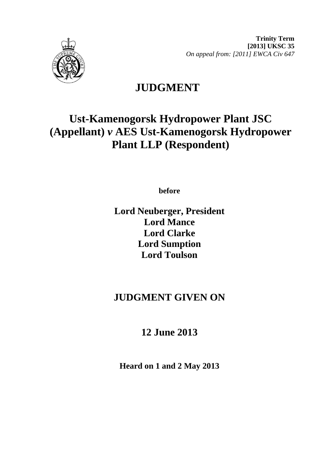

**Trinity Term [2013] UKSC 35**  *On appeal from: [2011] EWCA Civ 647* 

## **JUDGMENT**

# **Ust-Kamenogorsk Hydropower Plant JSC (Appellant)** *v* **AES Ust-Kamenogorsk Hydropower Plant LLP (Respondent)**

**before** 

**Lord Neuberger, President Lord Mance Lord Clarke Lord Sumption Lord Toulson**

### **JUDGMENT GIVEN ON**

## **12 June 2013**

**Heard on 1 and 2 May 2013**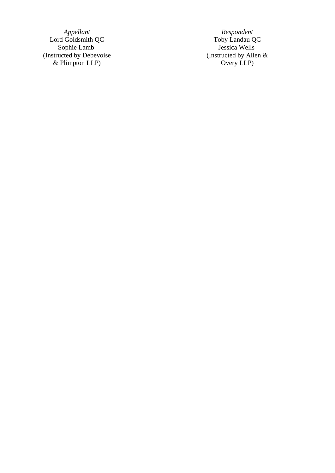Lord Goldsmith QC Sophie Lamb Jessica Wells (Instructed by Debevoise (Instructed by Allen & & Plimpton LLP) Overy LLP)

*Appellant*<br> **A**coldsmith QC <br> **A**coldsmith QC <br> **A**cophie Lamb<br> **Acoldsmith QC** <br> **Acoldsmith QC** <br> **Acoldsmith QC** <br> **Acoldsmith QC** <br> **Acoldsmith QC** <br> **Acoldsmith QC** <br> **Acoldsmith DC** <br> **Acoldsmith DC** <br> **Acoldsmith D**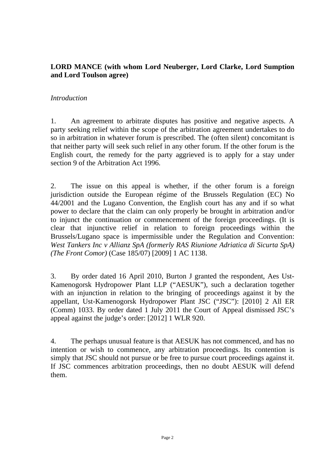#### **LORD MANCE (with whom Lord Neuberger, Lord Clarke, Lord Sumption and Lord Toulson agree)**

#### *Introduction*

1. An agreement to arbitrate disputes has positive and negative aspects. A party seeking relief within the scope of the arbitration agreement undertakes to do so in arbitration in whatever forum is prescribed. The (often silent) concomitant is that neither party will seek such relief in any other forum. If the other forum is the English court, the remedy for the party aggrieved is to apply for a stay under section 9 of the Arbitration Act 1996.

2. The issue on this appeal is whether, if the other forum is a foreign jurisdiction outside the European régime of the Brussels Regulation (EC) No 44/2001 and the Lugano Convention, the English court has any and if so what power to declare that the claim can only properly be brought in arbitration and/or to injunct the continuation or commencement of the foreign proceedings. (It is clear that injunctive relief in relation to foreign proceedings within the Brussels/Lugano space is impermissible under the Regulation and Convention: *West Tankers Inc v Allianz SpA (formerly RAS Riunione Adriatica di Sicurta SpA) (The Front Comor)* (Case 185/07) [2009] 1 AC 1138.

3. By order dated 16 April 2010, Burton J granted the respondent, Aes Ust-Kamenogorsk Hydropower Plant LLP ("AESUK"), such a declaration together with an injunction in relation to the bringing of proceedings against it by the appellant, Ust-Kamenogorsk Hydropower Plant JSC ("JSC"): [2010] 2 All ER (Comm) 1033. By order dated 1 July 2011 the Court of Appeal dismissed JSC's appeal against the judge's order: [2012] 1 WLR 920.

4. The perhaps unusual feature is that AESUK has not commenced, and has no intention or wish to commence, any arbitration proceedings. Its contention is simply that JSC should not pursue or be free to pursue court proceedings against it. If JSC commences arbitration proceedings, then no doubt AESUK will defend them.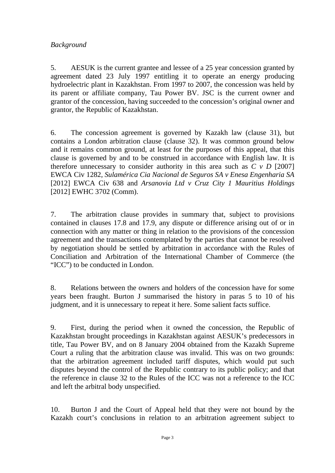#### *Background*

5. AESUK is the current grantee and lessee of a 25 year concession granted by agreement dated 23 July 1997 entitling it to operate an energy producing hydroelectric plant in Kazakhstan. From 1997 to 2007, the concession was held by its parent or affiliate company, Tau Power BV. JSC is the current owner and grantor of the concession, having succeeded to the concession's original owner and grantor, the Republic of Kazakhstan.

6. The concession agreement is governed by Kazakh law (clause 31), but contains a London arbitration clause (clause 32). It was common ground below and it remains common ground, at least for the purposes of this appeal, that this clause is governed by and to be construed in accordance with English law. It is therefore unnecessary to consider authority in this area such as  $C v D$  [2007] EWCA Civ 1282, *Sulamérica Cia Nacional de Seguros SA v Enesa Engenharia SA*  [2012] EWCA Civ 638 and *Arsanovia Ltd v Cruz City 1 Mauritius Holdings*  [2012] EWHC 3702 (Comm).

7. The arbitration clause provides in summary that, subject to provisions contained in clauses 17.8 and 17.9, any dispute or difference arising out of or in connection with any matter or thing in relation to the provisions of the concession agreement and the transactions contemplated by the parties that cannot be resolved by negotiation should be settled by arbitration in accordance with the Rules of Conciliation and Arbitration of the International Chamber of Commerce (the "ICC") to be conducted in London.

8. Relations between the owners and holders of the concession have for some years been fraught. Burton J summarised the history in paras 5 to 10 of his judgment, and it is unnecessary to repeat it here. Some salient facts suffice.

9. First, during the period when it owned the concession, the Republic of Kazakhstan brought proceedings in Kazakhstan against AESUK's predecessors in title, Tau Power BV, and on 8 January 2004 obtained from the Kazakh Supreme Court a ruling that the arbitration clause was invalid. This was on two grounds: that the arbitration agreement included tariff disputes, which would put such disputes beyond the control of the Republic contrary to its public policy; and that the reference in clause 32 to the Rules of the ICC was not a reference to the ICC and left the arbitral body unspecified.

10. Burton J and the Court of Appeal held that they were not bound by the Kazakh court's conclusions in relation to an arbitration agreement subject to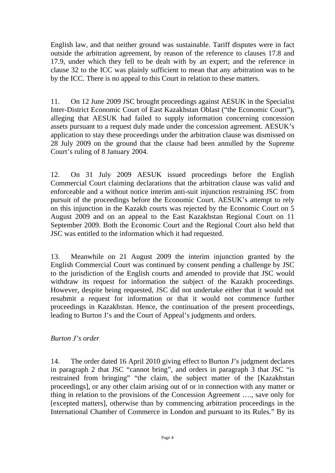English law, and that neither ground was sustainable. Tariff disputes were in fact outside the arbitration agreement, by reason of the reference to clauses 17.8 and 17.9, under which they fell to be dealt with by an expert; and the reference in clause 32 to the ICC was plainly sufficient to mean that any arbitration was to be by the ICC. There is no appeal to this Court in relation to these matters.

11. On 12 June 2009 JSC brought proceedings against AESUK in the Specialist Inter-District Economic Court of East Kazakhstan Oblast ("the Economic Court"), alleging that AESUK had failed to supply information concerning concession assets pursuant to a request duly made under the concession agreement. AESUK's application to stay these proceedings under the arbitration clause was dismissed on 28 July 2009 on the ground that the clause had been annulled by the Supreme Court's ruling of 8 January 2004.

12. On 31 July 2009 AESUK issued proceedings before the English Commercial Court claiming declarations that the arbitration clause was valid and enforceable and a without notice interim anti-suit injunction restraining JSC from pursuit of the proceedings before the Economic Court. AESUK's attempt to rely on this injunction in the Kazakh courts was rejected by the Economic Court on 5 August 2009 and on an appeal to the East Kazakhstan Regional Court on 11 September 2009. Both the Economic Court and the Regional Court also held that JSC was entitled to the information which it had requested.

13. Meanwhile on 21 August 2009 the interim injunction granted by the English Commercial Court was continued by consent pending a challenge by JSC to the jurisdiction of the English courts and amended to provide that JSC would withdraw its request for information the subject of the Kazakh proceedings. However, despite being requested, JSC did not undertake either that it would not resubmit a request for information or that it would not commence further proceedings in Kazakhstan. Hence, the continuation of the present proceedings, leading to Burton J's and the Court of Appeal's judgments and orders.

#### *Burton J's order*

14. The order dated 16 April 2010 giving effect to Burton J's judgment declares in paragraph 2 that JSC "cannot bring", and orders in paragraph 3 that JSC "is restrained from bringing" "the claim, the subject matter of the [Kazakhstan proceedings], or any other claim arising out of or in connection with any matter or thing in relation to the provisions of the Concession Agreement …., save only for [excepted matters], otherwise than by commencing arbitration proceedings in the International Chamber of Commerce in London and pursuant to its Rules." By its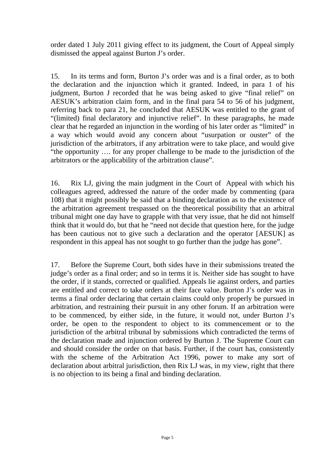order dated 1 July 2011 giving effect to its judgment, the Court of Appeal simply dismissed the appeal against Burton J's order.

15. In its terms and form, Burton J's order was and is a final order, as to both the declaration and the injunction which it granted. Indeed, in para 1 of his judgment, Burton J recorded that he was being asked to give "final relief" on AESUK's arbitration claim form, and in the final para 54 to 56 of his judgment, referring back to para 21, he concluded that AESUK was entitled to the grant of "(limited) final declaratory and injunctive relief". In these paragraphs, he made clear that he regarded an injunction in the wording of his later order as "limited" in a way which would avoid any concern about "usurpation or ouster" of the jurisdiction of the arbitrators, if any arbitration were to take place, and would give "the opportunity …. for any proper challenge to be made to the jurisdiction of the arbitrators or the applicability of the arbitration clause".

16. Rix LJ, giving the main judgment in the Court of Appeal with which his colleagues agreed, addressed the nature of the order made by commenting (para 108) that it might possibly be said that a binding declaration as to the existence of the arbitration agreement trespassed on the theoretical possibility that an arbitral tribunal might one day have to grapple with that very issue, that he did not himself think that it would do, but that he "need not decide that question here, for the judge has been cautious not to give such a declaration and the operator [AESUK] as respondent in this appeal has not sought to go further than the judge has gone".

17. Before the Supreme Court, both sides have in their submissions treated the judge's order as a final order; and so in terms it is. Neither side has sought to have the order, if it stands, corrected or qualified. Appeals lie against orders, and parties are entitled and correct to take orders at their face value. Burton J's order was in terms a final order declaring that certain claims could only properly be pursued in arbitration, and restraining their pursuit in any other forum. If an arbitration were to be commenced, by either side, in the future, it would not, under Burton J's order, be open to the respondent to object to its commencement or to the jurisdiction of the arbitral tribunal by submissions which contradicted the terms of the declaration made and injunction ordered by Burton J. The Supreme Court can and should consider the order on that basis. Further, if the court has, consistently with the scheme of the Arbitration Act 1996, power to make any sort of declaration about arbitral jurisdiction, then Rix LJ was, in my view, right that there is no objection to its being a final and binding declaration.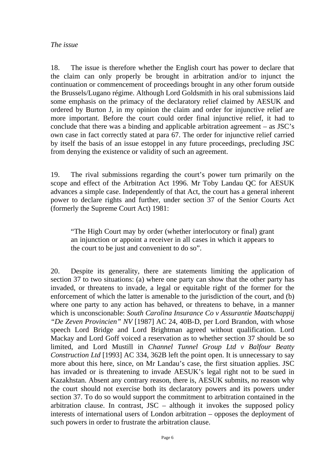18. The issue is therefore whether the English court has power to declare that the claim can only properly be brought in arbitration and/or to injunct the continuation or commencement of proceedings brought in any other forum outside the Brussels/Lugano régime. Although Lord Goldsmith in his oral submissions laid some emphasis on the primacy of the declaratory relief claimed by AESUK and ordered by Burton J, in my opinion the claim and order for injunctive relief are more important. Before the court could order final injunctive relief, it had to conclude that there was a binding and applicable arbitration agreement – as JSC's own case in fact correctly stated at para 67. The order for injunctive relief carried by itself the basis of an issue estoppel in any future proceedings, precluding JSC from denying the existence or validity of such an agreement.

19. The rival submissions regarding the court's power turn primarily on the scope and effect of the Arbitration Act 1996. Mr Toby Landau QC for AESUK advances a simple case. Independently of that Act, the court has a general inherent power to declare rights and further, under section 37 of the Senior Courts Act (formerly the Supreme Court Act) 1981:

"The High Court may by order (whether interlocutory or final) grant an injunction or appoint a receiver in all cases in which it appears to the court to be just and convenient to do so".

20. Despite its generality, there are statements limiting the application of section 37 to two situations: (a) where one party can show that the other party has invaded, or threatens to invade, a legal or equitable right of the former for the enforcement of which the latter is amenable to the jurisdiction of the court, and (b) where one party to any action has behaved, or threatens to behave, in a manner which is unconscionable: *South Carolina Insurance Co v Assurantie Maatschappij "De Zeven Provincien" NV* [1987] AC 24, 40B-D, per Lord Brandon, with whose speech Lord Bridge and Lord Brightman agreed without qualification. Lord Mackay and Lord Goff voiced a reservation as to whether section 37 should be so limited, and Lord Mustill in *Channel Tunnel Group Ltd v Balfour Beatty Construction Ltd* [1993] AC 334, 362B left the point open. It is unnecessary to say more about this here, since, on Mr Landau's case, the first situation applies. JSC has invaded or is threatening to invade AESUK's legal right not to be sued in Kazakhstan. Absent any contrary reason, there is, AESUK submits, no reason why the court should not exercise both its declaratory powers and its powers under section 37. To do so would support the commitment to arbitration contained in the arbitration clause. In contrast, JSC – although it invokes the supposed policy interests of international users of London arbitration – opposes the deployment of such powers in order to frustrate the arbitration clause.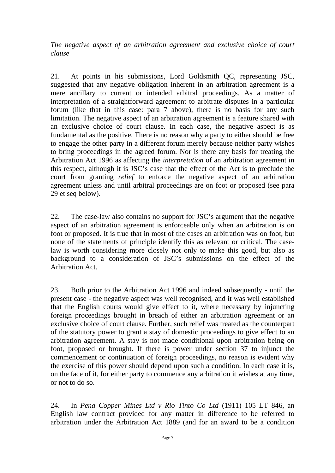*The negative aspect of an arbitration agreement and exclusive choice of court clause* 

21. At points in his submissions, Lord Goldsmith QC, representing JSC, suggested that any negative obligation inherent in an arbitration agreement is a mere ancillary to current or intended arbitral proceedings. As a matter of interpretation of a straightforward agreement to arbitrate disputes in a particular forum (like that in this case: para 7 above), there is no basis for any such limitation. The negative aspect of an arbitration agreement is a feature shared with an exclusive choice of court clause. In each case, the negative aspect is as fundamental as the positive. There is no reason why a party to either should be free to engage the other party in a different forum merely because neither party wishes to bring proceedings in the agreed forum. Nor is there any basis for treating the Arbitration Act 1996 as affecting the *interpretation* of an arbitration agreement in this respect, although it is JSC's case that the effect of the Act is to preclude the court from granting *relief* to enforce the negative aspect of an arbitration agreement unless and until arbitral proceedings are on foot or proposed (see para 29 et seq below).

22. The case-law also contains no support for JSC's argument that the negative aspect of an arbitration agreement is enforceable only when an arbitration is on foot or proposed. It is true that in most of the cases an arbitration was on foot, but none of the statements of principle identify this as relevant or critical. The caselaw is worth considering more closely not only to make this good, but also as background to a consideration of JSC's submissions on the effect of the Arbitration Act.

23. Both prior to the Arbitration Act 1996 and indeed subsequently - until the present case - the negative aspect was well recognised, and it was well established that the English courts would give effect to it, where necessary by injuncting foreign proceedings brought in breach of either an arbitration agreement or an exclusive choice of court clause. Further, such relief was treated as the counterpart of the statutory power to grant a stay of domestic proceedings to give effect to an arbitration agreement. A stay is not made conditional upon arbitration being on foot, proposed or brought. If there is power under section 37 to injunct the commencement or continuation of foreign proceedings, no reason is evident why the exercise of this power should depend upon such a condition. In each case it is, on the face of it, for either party to commence any arbitration it wishes at any time, or not to do so.

24. In *Pena Copper Mines Ltd v Rio Tinto Co Ltd* (1911) 105 LT 846, an English law contract provided for any matter in difference to be referred to arbitration under the Arbitration Act 1889 (and for an award to be a condition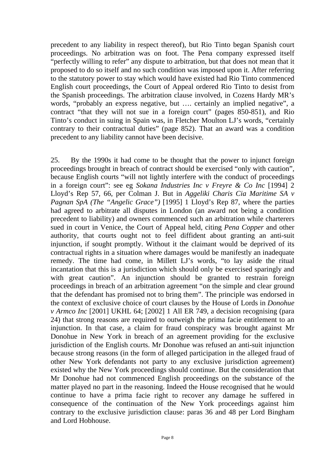precedent to any liability in respect thereof), but Rio Tinto began Spanish court proceedings. No arbitration was on foot. The Pena company expressed itself "perfectly willing to refer" any dispute to arbitration, but that does not mean that it proposed to do so itself and no such condition was imposed upon it. After referring to the statutory power to stay which would have existed had Rio Tinto commenced English court proceedings, the Court of Appeal ordered Rio Tinto to desist from the Spanish proceedings. The arbitration clause involved, in Cozens Hardy MR's words, "probably an express negative, but …. certainly an implied negative", a contract "that they will not sue in a foreign court" (pages 850-851), and Rio Tinto's conduct in suing in Spain was, in Fletcher Moulton LJ's words, "certainly contrary to their contractual duties" (page 852). That an award was a condition precedent to any liability cannot have been decisive.

25. By the 1990s it had come to be thought that the power to injunct foreign proceedings brought in breach of contract should be exercised "only with caution", because English courts "will not lightly interfere with the conduct of proceedings in a foreign court": see eg *Sokana Industries Inc v Freyre & Co Inc* [1994] 2 Lloyd's Rep 57, 66, per Colman J. But in *Aggeliki Charis Cia Maritime SA v Pagnan SpA (The "Angelic Grace")* [1995] 1 Lloyd's Rep 87, where the parties had agreed to arbitrate all disputes in London (an award not being a condition precedent to liability) and owners commenced such an arbitration while charterers sued in court in Venice, the Court of Appeal held, citing *Pena Copper* and other authority, that courts ought not to feel diffident about granting an anti-suit injunction, if sought promptly. Without it the claimant would be deprived of its contractual rights in a situation where damages would be manifestly an inadequate remedy. The time had come, in Millett LJ's words, "to lay aside the ritual incantation that this is a jurisdiction which should only be exercised sparingly and with great caution". An injunction should be granted to restrain foreign proceedings in breach of an arbitration agreement "on the simple and clear ground that the defendant has promised not to bring them". The principle was endorsed in the context of exclusive choice of court clauses by the House of Lords in *Donohue v Armco Inc* [2001] UKHL 64; [2002] 1 All ER 749, a decision recognising (para 24) that strong reasons are required to outweigh the prima facie entitlement to an injunction. In that case, a claim for fraud conspiracy was brought against Mr Donohue in New York in breach of an agreement providing for the exclusive jurisdiction of the English courts. Mr Donohue was refused an anti-suit injunction because strong reasons (in the form of alleged participation in the alleged fraud of other New York defendants not party to any exclusive jurisdiction agreement) existed why the New York proceedings should continue. But the consideration that Mr Donohue had not commenced English proceedings on the substance of the matter played no part in the reasoning. Indeed the House recognised that he would continue to have a prima facie right to recover any damage he suffered in consequence of the continuation of the New York proceedings against him contrary to the exclusive jurisdiction clause: paras 36 and 48 per Lord Bingham and Lord Hobhouse.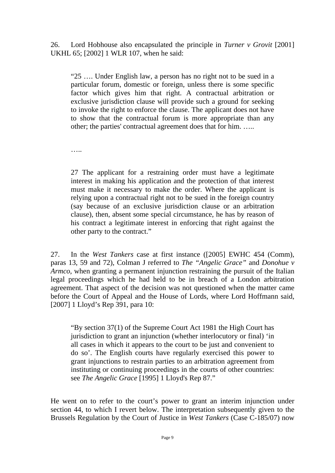26. Lord Hobhouse also encapsulated the principle in *Turner v Grovit* [2001] UKHL 65; [2002] 1 WLR 107, when he said:

"25 …. Under English law, a person has no right not to be sued in a particular forum, domestic or foreign, unless there is some specific factor which gives him that right. A contractual arbitration or exclusive jurisdiction clause will provide such a ground for seeking to invoke the right to enforce the clause. The applicant does not have to show that the contractual forum is more appropriate than any other; the parties' contractual agreement does that for him. …..

…..

27 The applicant for a restraining order must have a legitimate interest in making his application and the protection of that interest must make it necessary to make the order. Where the applicant is relying upon a contractual right not to be sued in the foreign country (say because of an exclusive jurisdiction clause or an arbitration clause), then, absent some special circumstance, he has by reason of his contract a legitimate interest in enforcing that right against the other party to the contract."

27. In the *West Tankers* case at first instance ([2005] EWHC 454 (Comm), paras 13, 59 and 72), Colman J referred to *The "Angelic Grace"* and *Donohue v Armco*, when granting a permanent injunction restraining the pursuit of the Italian legal proceedings which he had held to be in breach of a London arbitration agreement. That aspect of the decision was not questioned when the matter came before the Court of Appeal and the House of Lords, where Lord Hoffmann said, [2007] 1 Lloyd's Rep 391, para 10:

"By section 37(1) of the Supreme Court Act 1981 the High Court has jurisdiction to grant an injunction (whether interlocutory or final) 'in all cases in which it appears to the court to be just and convenient to do so'. The English courts have regularly exercised this power to grant injunctions to restrain parties to an arbitration agreement from instituting or continuing proceedings in the courts of other countries: see *The Angelic Grace* [1995] 1 Lloyd's Rep 87."

He went on to refer to the court's power to grant an interim injunction under section 44, to which I revert below. The interpretation subsequently given to the Brussels Regulation by the Court of Justice in *West Tankers* (Case C-185/07) now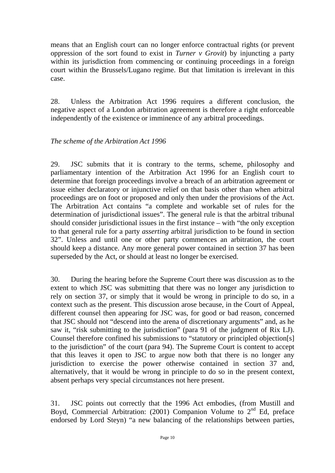means that an English court can no longer enforce contractual rights (or prevent oppression of the sort found to exist in *Turner v Grovit*) by injuncting a party within its jurisdiction from commencing or continuing proceedings in a foreign court within the Brussels/Lugano regime. But that limitation is irrelevant in this case.

28. Unless the Arbitration Act 1996 requires a different conclusion, the negative aspect of a London arbitration agreement is therefore a right enforceable independently of the existence or imminence of any arbitral proceedings.

#### *The scheme of the Arbitration Act 1996*

29. JSC submits that it is contrary to the terms, scheme, philosophy and parliamentary intention of the Arbitration Act 1996 for an English court to determine that foreign proceedings involve a breach of an arbitration agreement or issue either declaratory or injunctive relief on that basis other than when arbitral proceedings are on foot or proposed and only then under the provisions of the Act. The Arbitration Act contains "a complete and workable set of rules for the determination of jurisdictional issues". The general rule is that the arbitral tribunal should consider jurisdictional issues in the first instance – with "the only exception to that general rule for a party *asserting* arbitral jurisdiction to be found in section 32". Unless and until one or other party commences an arbitration, the court should keep a distance. Any more general power contained in section 37 has been superseded by the Act, or should at least no longer be exercised.

30. During the hearing before the Supreme Court there was discussion as to the extent to which JSC was submitting that there was no longer any jurisdiction to rely on section 37, or simply that it would be wrong in principle to do so, in a context such as the present. This discussion arose because, in the Court of Appeal, different counsel then appearing for JSC was, for good or bad reason, concerned that JSC should not "descend into the arena of discretionary arguments" and, as he saw it, "risk submitting to the jurisdiction" (para 91 of the judgment of Rix LJ). Counsel therefore confined his submissions to "statutory or principled objection[s] to the jurisdiction" of the court (para 94). The Supreme Court is content to accept that this leaves it open to JSC to argue now both that there is no longer any jurisdiction to exercise the power otherwise contained in section 37 and, alternatively, that it would be wrong in principle to do so in the present context, absent perhaps very special circumstances not here present.

31. JSC points out correctly that the 1996 Act embodies, (from Mustill and Boyd, Commercial Arbitration: (2001) Companion Volume to  $2<sup>nd</sup>$  Ed, preface endorsed by Lord Steyn) "a new balancing of the relationships between parties,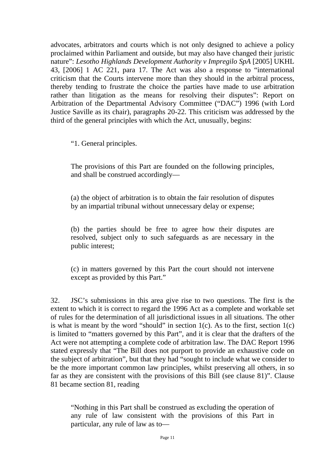advocates, arbitrators and courts which is not only designed to achieve a policy proclaimed within Parliament and outside, but may also have changed their juristic nature": *Lesotho Highlands Development Authority v Impregilo SpA* [2005] UKHL 43, [2006] 1 AC 221, para 17. The Act was also a response to "international criticism that the Courts intervene more than they should in the arbitral process, thereby tending to frustrate the choice the parties have made to use arbitration rather than litigation as the means for resolving their disputes": Report on Arbitration of the Departmental Advisory Committee ("DAC") 1996 (with Lord Justice Saville as its chair), paragraphs 20-22. This criticism was addressed by the third of the general principles with which the Act, unusually, begins:

"1. General principles.

The provisions of this Part are founded on the following principles, and shall be construed accordingly—

(a) the object of arbitration is to obtain the fair resolution of disputes by an impartial tribunal without unnecessary delay or expense;

(b) the parties should be free to agree how their disputes are resolved, subject only to such safeguards as are necessary in the public interest;

(c) in matters governed by this Part the court should not intervene except as provided by this Part."

32. JSC's submissions in this area give rise to two questions. The first is the extent to which it is correct to regard the 1996 Act as a complete and workable set of rules for the determination of all jurisdictional issues in all situations. The other is what is meant by the word "should" in section  $1(c)$ . As to the first, section  $1(c)$ is limited to "matters governed by this Part", and it is clear that the drafters of the Act were not attempting a complete code of arbitration law. The DAC Report 1996 stated expressly that "The Bill does not purport to provide an exhaustive code on the subject of arbitration", but that they had "sought to include what we consider to be the more important common law principles, whilst preserving all others, in so far as they are consistent with the provisions of this Bill (see clause 81)". Clause 81 became section 81, reading

"Nothing in this Part shall be construed as excluding the operation of any rule of law consistent with the provisions of this Part in particular, any rule of law as to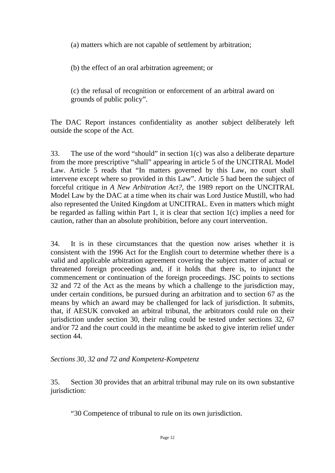(a) matters which are not capable of settlement by arbitration;

(b) the effect of an oral arbitration agreement; or

(c) the refusal of recognition or enforcement of an arbitral award on grounds of public policy".

The DAC Report instances confidentiality as another subject deliberately left outside the scope of the Act.

33. The use of the word "should" in section 1(c) was also a deliberate departure from the more prescriptive "shall" appearing in article 5 of the UNCITRAL Model Law. Article 5 reads that "In matters governed by this Law, no court shall intervene except where so provided in this Law". Article 5 had been the subject of forceful critique in *A New Arbitration Act?*, the 1989 report on the UNCITRAL Model Law by the DAC at a time when its chair was Lord Justice Mustill, who had also represented the United Kingdom at UNCITRAL. Even in matters which might be regarded as falling within Part 1, it is clear that section 1(c) implies a need for caution, rather than an absolute prohibition, before any court intervention.

34. It is in these circumstances that the question now arises whether it is consistent with the 1996 Act for the English court to determine whether there is a valid and applicable arbitration agreement covering the subject matter of actual or threatened foreign proceedings and, if it holds that there is, to injunct the commencement or continuation of the foreign proceedings. JSC points to sections 32 and 72 of the Act as the means by which a challenge to the jurisdiction may, under certain conditions, be pursued during an arbitration and to section 67 as the means by which an award may be challenged for lack of jurisdiction. It submits, that, if AESUK convoked an arbitral tribunal, the arbitrators could rule on their jurisdiction under section 30, their ruling could be tested under sections 32, 67 and/or 72 and the court could in the meantime be asked to give interim relief under section 44

#### *Sections 30, 32 and 72 and Kompetenz-Kompetenz*

35. Section 30 provides that an arbitral tribunal may rule on its own substantive jurisdiction:

"30 Competence of tribunal to rule on its own jurisdiction.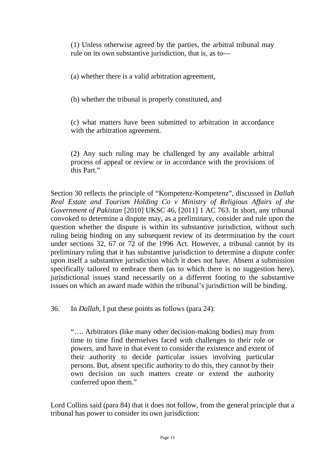(1) Unless otherwise agreed by the parties, the arbitral tribunal may rule on its own substantive jurisdiction, that is, as to—

(a) whether there is a valid arbitration agreement,

(b) whether the tribunal is properly constituted, and

(c) what matters have been submitted to arbitration in accordance with the arbitration agreement.

(2) Any such ruling may be challenged by any available arbitral process of appeal or review or in accordance with the provisions of this Part."

Section 30 reflects the principle of "Kompetenz-Kompetenz", discussed in *Dallah Real Estate and Tourism Holding Co v Ministry of Religious Affairs of the Government of Pakistan* [2010] UKSC 46, [2011] 1 AC 763. In short, any tribunal convoked to determine a dispute may, as a preliminary, consider and rule upon the question whether the dispute is within its substantive jurisdiction, without such ruling being binding on any subsequent review of its determination by the court under sections 32, 67 or 72 of the 1996 Act. However, a tribunal cannot by its preliminary ruling that it has substantive jurisdiction to determine a dispute confer upon itself a substantive jurisdiction which it does not have. Absent a submission specifically tailored to embrace them (as to which there is no suggestion here), jurisdictional issues stand necessarily on a different footing to the substantive issues on which an award made within the tribunal's jurisdiction will be binding.

36. In *Dallah*, I put these points as follows (para 24):

"…. Arbitrators (like many other decision-making bodies) may from time to time find themselves faced with challenges to their role or powers, and have in that event to consider the existence and extent of their authority to decide particular issues involving particular persons. But, absent specific authority to do this, they cannot by their own decision on such matters create or extend the authority conferred upon them."

Lord Collins said (para 84) that it does not follow, from the general principle that a tribunal has power to consider its own jurisdiction: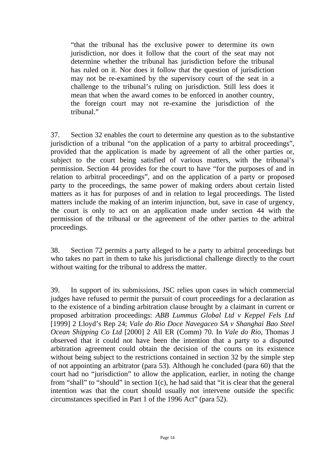"that the tribunal has the exclusive power to determine its own jurisdiction, nor does it follow that the court of the seat may not determine whether the tribunal has jurisdiction before the tribunal has ruled on it. Nor does it follow that the question of jurisdiction may not be re-examined by the supervisory court of the seat in a challenge to the tribunal's ruling on jurisdiction. Still less does it mean that when the award comes to be enforced in another country, the foreign court may not re-examine the jurisdiction of the tribunal"

37. Section 32 enables the court to determine any question as to the substantive jurisdiction of a tribunal "on the application of a party to arbitral proceedings", provided that the application is made by agreement of all the other parties or, subject to the court being satisfied of various matters, with the tribunal's permission. Section 44 provides for the court to have "for the purposes of and in relation to arbitral proceedings", and on the application of a party or proposed party to the proceedings, the same power of making orders about certain listed matters as it has for purposes of and in relation to legal proceedings. The listed matters include the making of an interim injunction, but, save in case of urgency, the court is only to act on an application made under section 44 with the permission of the tribunal or the agreement of the other parties to the arbitral proceedings.

38. Section 72 permits a party alleged to be a party to arbitral proceedings but who takes no part in them to take his jurisdictional challenge directly to the court without waiting for the tribunal to address the matter.

39. In support of its submissions, JSC relies upon cases in which commercial judges have refused to permit the pursuit of court proceedings for a declaration as to the existence of a binding arbitration clause brought by a claimant in current or proposed arbitration proceedings: *ABB Lummus Global Ltd v Keppel Fels Ltd*  [1999] 2 Lloyd's Rep 24; *Vale do Rio Doce Navegaceo SA v Shanghai Bao Steel Ocean Shipping Co Ltd* [2000] 2 All ER (Comm) 70. In *Vale do Rio*, Thomas J observed that it could not have been the intention that a party to a disputed arbitration agreement could obtain the decision of the courts on its existence without being subject to the restrictions contained in section 32 by the simple step of not appointing an arbitrator (para 53). Although he concluded (para 60) that the court had no "jurisdiction" to allow the application, earlier, in noting the change from "shall" to "should" in section 1(c), he had said that "it is clear that the general intention was that the court should usually not intervene outside the specific circumstances specified in Part 1 of the 1996 Act" (para 52).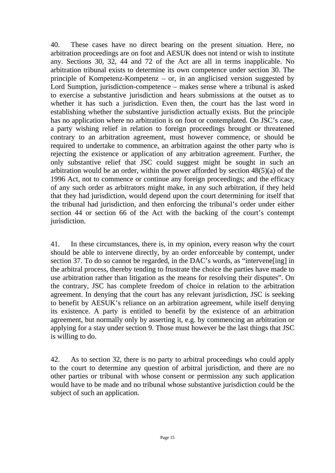40. These cases have no direct bearing on the present situation. Here, no arbitration proceedings are on foot and AESUK does not intend or wish to institute any. Sections 30, 32, 44 and 72 of the Act are all in terms inapplicable. No arbitration tribunal exists to determine its own competence under section 30. The principle of Kompetenz-Kompetenz – or, in an anglicised version suggested by Lord Sumption, jurisdiction-competence – makes sense where a tribunal is asked to exercise a substantive jurisdiction and hears submissions at the outset as to whether it has such a jurisdiction. Even then, the court has the last word in establishing whether the substantive jurisdiction actually exists. But the principle has no application where no arbitration is on foot or contemplated. On JSC's case, a party wishing relief in relation to foreign proceedings brought or threatened contrary to an arbitration agreement, must however commence, or should be required to undertake to commence, an arbitration against the other party who is rejecting the existence or application of any arbitration agreement. Further, the only substantive relief that JSC could suggest might be sought in such an arbitration would be an order, within the power afforded by section 48(5)(a) of the 1996 Act, not to commence or continue any foreign proceedings; and the efficacy of any such order as arbitrators might make, in any such arbitration, if they held that they had jurisdiction, would depend upon the court determining for itself that the tribunal had jurisdiction, and then enforcing the tribunal's order under either section 44 or section 66 of the Act with the backing of the court's contempt jurisdiction.

41. In these circumstances, there is, in my opinion, every reason why the court should be able to intervene directly, by an order enforceable by contempt, under section 37. To do so cannot be regarded, in the DAC's words, as "intervene[ing] in the arbitral process, thereby tending to frustrate the choice the parties have made to use arbitration rather than litigation as the means for resolving their disputes". On the contrary, JSC has complete freedom of choice in relation to the arbitration agreement. In denying that the court has any relevant jurisdiction, JSC is seeking to benefit by AESUK's reliance on an arbitration agreement, while itself denying its existence. A party is entitled to benefit by the existence of an arbitration agreement, but normally only by asserting it, e.g. by commencing an arbitration or applying for a stay under section 9. Those must however be the last things that JSC is willing to do.

42. As to section 32, there is no party to arbitral proceedings who could apply to the court to determine any question of arbitral jurisdiction, and there are no other parties or tribunal with whose consent or permission any such application would have to be made and no tribunal whose substantive jurisdiction could be the subject of such an application.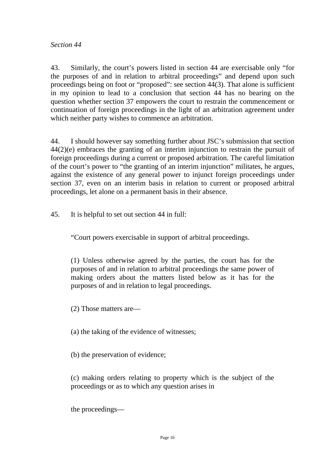43. Similarly, the court's powers listed in section 44 are exercisable only "for the purposes of and in relation to arbitral proceedings" and depend upon such proceedings being on foot or "proposed": see section 44(3). That alone is sufficient in my opinion to lead to a conclusion that section 44 has no bearing on the question whether section 37 empowers the court to restrain the commencement or continuation of foreign proceedings in the light of an arbitration agreement under which neither party wishes to commence an arbitration.

44. I should however say something further about JSC's submission that section 44(2)(e) embraces the granting of an interim injunction to restrain the pursuit of foreign proceedings during a current or proposed arbitration. The careful limitation of the court's power to "the granting of an interim injunction" militates, he argues, against the existence of any general power to injunct foreign proceedings under section 37, even on an interim basis in relation to current or proposed arbitral proceedings, let alone on a permanent basis in their absence.

45. It is helpful to set out section 44 in full:

"Court powers exercisable in support of arbitral proceedings.

(1) Unless otherwise agreed by the parties, the court has for the purposes of and in relation to arbitral proceedings the same power of making orders about the matters listed below as it has for the purposes of and in relation to legal proceedings.

(2) Those matters are—

(a) the taking of the evidence of witnesses;

(b) the preservation of evidence;

(c) making orders relating to property which is the subject of the proceedings or as to which any question arises in

the proceedings—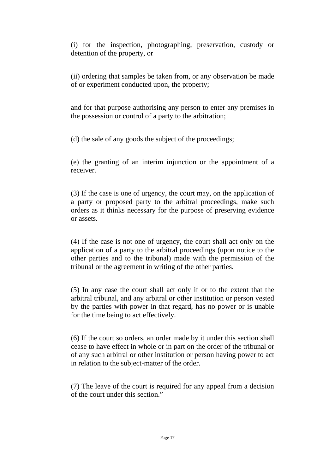(i) for the inspection, photographing, preservation, custody or detention of the property, or

(ii) ordering that samples be taken from, or any observation be made of or experiment conducted upon, the property;

and for that purpose authorising any person to enter any premises in the possession or control of a party to the arbitration;

(d) the sale of any goods the subject of the proceedings;

(e) the granting of an interim injunction or the appointment of a receiver.

(3) If the case is one of urgency, the court may, on the application of a party or proposed party to the arbitral proceedings, make such orders as it thinks necessary for the purpose of preserving evidence or assets.

(4) If the case is not one of urgency, the court shall act only on the application of a party to the arbitral proceedings (upon notice to the other parties and to the tribunal) made with the permission of the tribunal or the agreement in writing of the other parties.

(5) In any case the court shall act only if or to the extent that the arbitral tribunal, and any arbitral or other institution or person vested by the parties with power in that regard, has no power or is unable for the time being to act effectively.

(6) If the court so orders, an order made by it under this section shall cease to have effect in whole or in part on the order of the tribunal or of any such arbitral or other institution or person having power to act in relation to the subject-matter of the order.

(7) The leave of the court is required for any appeal from a decision of the court under this section."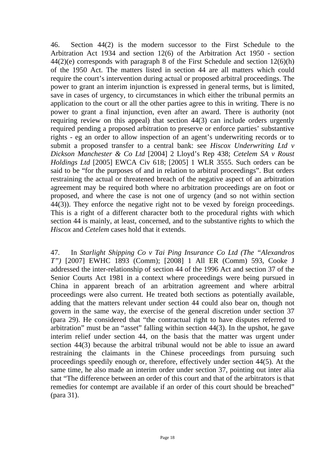46. Section 44(2) is the modern successor to the First Schedule to the Arbitration Act 1934 and section 12(6) of the Arbitration Act 1950 - section 44(2)(e) corresponds with paragraph 8 of the First Schedule and section 12(6)(h) of the 1950 Act. The matters listed in section 44 are all matters which could require the court's intervention during actual or proposed arbitral proceedings. The power to grant an interim injunction is expressed in general terms, but is limited, save in cases of urgency, to circumstances in which either the tribunal permits an application to the court or all the other parties agree to this in writing. There is no power to grant a final injunction, even after an award. There is authority (not requiring review on this appeal) that section 44(3) can include orders urgently required pending a proposed arbitration to preserve or enforce parties' substantive rights - eg an order to allow inspection of an agent's underwriting records or to submit a proposed transfer to a central bank: see *Hiscox Underwriting Ltd v Dickson Manchester & Co Ltd* [2004] 2 Lloyd's Rep 438; *Cetelem SA v Roust Holdings Ltd* [2005] EWCA Civ 618; [2005] 1 WLR 3555. Such orders can be said to be "for the purposes of and in relation to arbitral proceedings". But orders restraining the actual or threatened breach of the negative aspect of an arbitration agreement may be required both where no arbitration proceedings are on foot or proposed, and where the case is not one of urgency (and so not within section 44(3)). They enforce the negative right not to be vexed by foreign proceedings. This is a right of a different character both to the procedural rights with which section 44 is mainly, at least, concerned, and to the substantive rights to which the *Hiscox* and *Cetelem* cases hold that it extends.

47. In *Starlight Shipping Co v Tai Ping Insurance Co Ltd (The "Alexandros T")* [2007] EWHC 1893 (Comm); [2008] 1 All ER (Comm) 593, Cooke J addressed the inter-relationship of section 44 of the 1996 Act and section 37 of the Senior Courts Act 1981 in a context where proceedings were being pursued in China in apparent breach of an arbitration agreement and where arbitral proceedings were also current. He treated both sections as potentially available, adding that the matters relevant under section 44 could also bear on, though not govern in the same way, the exercise of the general discretion under section 37 (para 29). He considered that "the contractual right to have disputes referred to arbitration" must be an "asset" falling within section 44(3). In the upshot, he gave interim relief under section 44, on the basis that the matter was urgent under section 44(3) because the arbitral tribunal would not be able to issue an award restraining the claimants in the Chinese proceedings from pursuing such proceedings speedily enough or, therefore, effectively under section 44(5). At the same time, he also made an interim order under section 37, pointing out inter alia that "The difference between an order of this court and that of the arbitrators is that remedies for contempt are available if an order of this court should be breached" (para 31).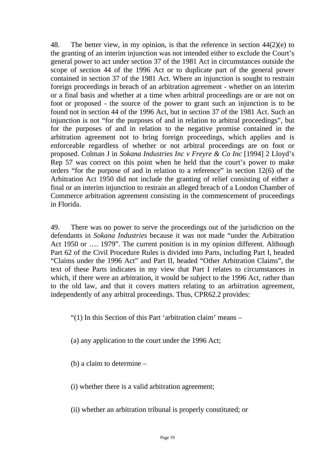48. The better view, in my opinion, is that the reference in section 44(2)(e) to the granting of an interim injunction was not intended either to exclude the Court's general power to act under section 37 of the 1981 Act in circumstances outside the scope of section 44 of the 1996 Act or to duplicate part of the general power contained in section 37 of the 1981 Act. Where an injunction is sought to restrain foreign proceedings in breach of an arbitration agreement - whether on an interim or a final basis and whether at a time when arbitral proceedings are or are not on foot or proposed - the source of the power to grant such an injunction is to be found not in section 44 of the 1996 Act, but in section 37 of the 1981 Act. Such an injunction is not "for the purposes of and in relation to arbitral proceedings", but for the purposes of and in relation to the negative promise contained in the arbitration agreement not to bring foreign proceedings, which applies and is enforceable regardless of whether or not arbitral proceedings are on foot or proposed. Colman J in *Sokana Industries Inc v Freyre & Co Inc* [1994] 2 Lloyd's Rep 57 was correct on this point when he held that the court's power to make orders "for the purpose of and in relation to a reference" in section 12(6) of the Arbitration Act 1950 did not include the granting of relief consisting of either a final or an interim injunction to restrain an alleged breach of a London Chamber of Commerce arbitration agreement consisting in the commencement of proceedings in Florida.

49. There was no power to serve the proceedings out of the jurisdiction on the defendants in *Sokana Industries* because it was not made "under the Arbitration Act 1950 or …. 1979". The current position is in my opinion different. Although Part 62 of the Civil Procedure Rules is divided into Parts, including Part I, headed "Claims under the 1996 Act" and Part II, headed "Other Arbitration Claims", the text of these Parts indicates in my view that Part I relates to circumstances in which, if there were an arbitration, it would be subject to the 1996 Act, rather than to the old law, and that it covers matters relating to an arbitration agreement, independently of any arbitral proceedings. Thus, CPR62.2 provides:

"(1) In this Section of this Part 'arbitration claim' means –

(a) any application to the court under the 1996 Act;

(b) a claim to determine –

(i) whether there is a valid arbitration agreement;

(ii) whether an arbitration tribunal is properly constituted; or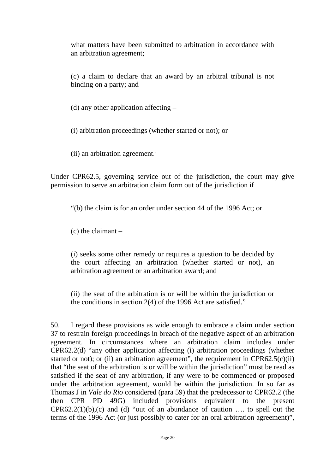what matters have been submitted to arbitration in accordance with an arbitration agreement;

(c) a claim to declare that an award by an arbitral tribunal is not binding on a party; and

(d) any other application affecting –

(i) arbitration proceedings (whether started or not); or

(ii) an arbitration agreement."

Under CPR62.5, governing service out of the jurisdiction, the court may give permission to serve an arbitration claim form out of the jurisdiction if

"(b) the claim is for an order under section 44 of the 1996 Act; or

 $(c)$  the claimant  $-$ 

(i) seeks some other remedy or requires a question to be decided by the court affecting an arbitration (whether started or not), an arbitration agreement or an arbitration award; and

(ii) the seat of the arbitration is or will be within the jurisdiction or the conditions in section 2(4) of the 1996 Act are satisfied."

50. I regard these provisions as wide enough to embrace a claim under section 37 to restrain foreign proceedings in breach of the negative aspect of an arbitration agreement. In circumstances where an arbitration claim includes under CPR62.2(d) "any other application affecting (i) arbitration proceedings (whether started or not); or (ii) an arbitration agreement", the requirement in  $CPR62.5(c)(ii)$ that "the seat of the arbitration is or will be within the jurisdiction" must be read as satisfied if the seat of any arbitration, if any were to be commenced or proposed under the arbitration agreement, would be within the jurisdiction. In so far as Thomas J in *Vale do Rio* considered (para 59) that the predecessor to CPR62.2 (the then CPR PD 49G) included provisions equivalent to the present  $CPR62.2(1)(b)$ , (c) and (d) "out of an abundance of caution ... to spell out the terms of the 1996 Act (or just possibly to cater for an oral arbitration agreement)",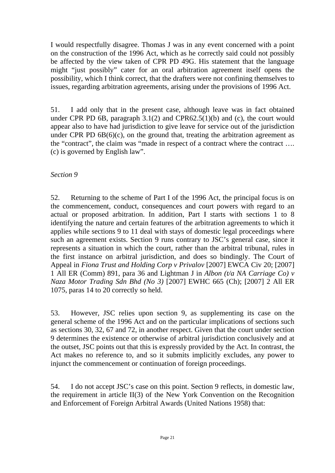I would respectfully disagree. Thomas J was in any event concerned with a point on the construction of the 1996 Act, which as he correctly said could not possibly be affected by the view taken of CPR PD 49G. His statement that the language might "just possibly" cater for an oral arbitration agreement itself opens the possibility, which I think correct, that the drafters were not confining themselves to issues, regarding arbitration agreements, arising under the provisions of 1996 Act.

51. I add only that in the present case, although leave was in fact obtained under CPR PD 6B, paragraph 3.1(2) and CPR62.5(1)(b) and (c), the court would appear also to have had jurisdiction to give leave for service out of the jurisdiction under CPR PD  $6B(6)(c)$ , on the ground that, treating the arbitration agreement as the "contract", the claim was "made in respect of a contract where the contract …. (c) is governed by English law".

#### *Section 9*

52. Returning to the scheme of Part I of the 1996 Act, the principal focus is on the commencement, conduct, consequences and court powers with regard to an actual or proposed arbitration. In addition, Part I starts with sections 1 to 8 identifying the nature and certain features of the arbitration agreements to which it applies while sections 9 to 11 deal with stays of domestic legal proceedings where such an agreement exists. Section 9 runs contrary to JSC's general case, since it represents a situation in which the court, rather than the arbitral tribunal, rules in the first instance on arbitral jurisdiction, and does so bindingly. The Court of Appeal in *Fiona Trust and Holding Corp v Privalov* [2007] EWCA Civ 20; [2007] 1 All ER (Comm) 891, para 36 and Lightman J in *Albon (t/a NA Carriage Co) v Naza Motor Trading Sdn Bhd (No 3)* [2007] EWHC 665 (Ch); [2007] 2 All ER 1075, paras 14 to 20 correctly so held.

53. However, JSC relies upon section 9, as supplementing its case on the general scheme of the 1996 Act and on the particular implications of sections such as sections 30, 32, 67 and 72, in another respect. Given that the court under section 9 determines the existence or otherwise of arbitral jurisdiction conclusively and at the outset, JSC points out that this is expressly provided by the Act. In contrast, the Act makes no reference to, and so it submits implicitly excludes, any power to injunct the commencement or continuation of foreign proceedings.

54. I do not accept JSC's case on this point. Section 9 reflects, in domestic law, the requirement in article II(3) of the New York Convention on the Recognition and Enforcement of Foreign Arbitral Awards (United Nations 1958) that: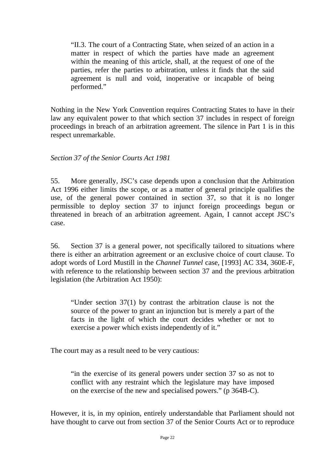"II.3. The court of a Contracting State, when seized of an action in a matter in respect of which the parties have made an agreement within the meaning of this article, shall, at the request of one of the parties, refer the parties to arbitration, unless it finds that the said agreement is null and void, inoperative or incapable of being performed."

Nothing in the New York Convention requires Contracting States to have in their law any equivalent power to that which section 37 includes in respect of foreign proceedings in breach of an arbitration agreement. The silence in Part 1 is in this respect unremarkable.

#### *Section 37 of the Senior Courts Act 1981*

55. More generally, JSC's case depends upon a conclusion that the Arbitration Act 1996 either limits the scope, or as a matter of general principle qualifies the use, of the general power contained in section 37, so that it is no longer permissible to deploy section 37 to injunct foreign proceedings begun or threatened in breach of an arbitration agreement. Again, I cannot accept JSC's case.

56. Section 37 is a general power, not specifically tailored to situations where there is either an arbitration agreement or an exclusive choice of court clause. To adopt words of Lord Mustill in the *Channel Tunnel* case, [1993] AC 334, 360E-F, with reference to the relationship between section 37 and the previous arbitration legislation (the Arbitration Act 1950):

"Under section 37(1) by contrast the arbitration clause is not the source of the power to grant an injunction but is merely a part of the facts in the light of which the court decides whether or not to exercise a power which exists independently of it."

The court may as a result need to be very cautious:

"in the exercise of its general powers under section 37 so as not to conflict with any restraint which the legislature may have imposed on the exercise of the new and specialised powers." (p 364B-C).

However, it is, in my opinion, entirely understandable that Parliament should not have thought to carve out from section 37 of the Senior Courts Act or to reproduce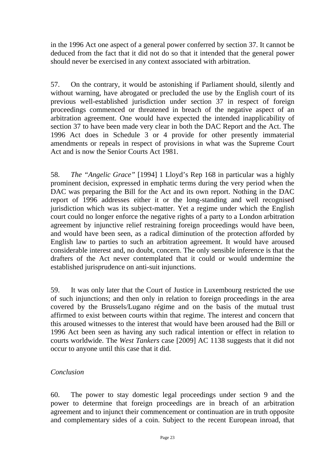in the 1996 Act one aspect of a general power conferred by section 37. It cannot be deduced from the fact that it did not do so that it intended that the general power should never be exercised in any context associated with arbitration.

57. On the contrary, it would be astonishing if Parliament should, silently and without warning, have abrogated or precluded the use by the English court of its previous well-established jurisdiction under section 37 in respect of foreign proceedings commenced or threatened in breach of the negative aspect of an arbitration agreement. One would have expected the intended inapplicability of section 37 to have been made very clear in both the DAC Report and the Act. The 1996 Act does in Schedule 3 or 4 provide for other presently immaterial amendments or repeals in respect of provisions in what was the Supreme Court Act and is now the Senior Courts Act 1981.

58. *The "Angelic Grace"* [1994] 1 Lloyd's Rep 168 in particular was a highly prominent decision, expressed in emphatic terms during the very period when the DAC was preparing the Bill for the Act and its own report. Nothing in the DAC report of 1996 addresses either it or the long-standing and well recognised jurisdiction which was its subject-matter. Yet a regime under which the English court could no longer enforce the negative rights of a party to a London arbitration agreement by injunctive relief restraining foreign proceedings would have been, and would have been seen, as a radical diminution of the protection afforded by English law to parties to such an arbitration agreement. It would have aroused considerable interest and, no doubt, concern. The only sensible inference is that the drafters of the Act never contemplated that it could or would undermine the established jurisprudence on anti-suit injunctions.

59. It was only later that the Court of Justice in Luxembourg restricted the use of such injunctions; and then only in relation to foreign proceedings in the area covered by the Brussels/Lugano régime and on the basis of the mutual trust affirmed to exist between courts within that regime. The interest and concern that this aroused witnesses to the interest that would have been aroused had the Bill or 1996 Act been seen as having any such radical intention or effect in relation to courts worldwide. The *West Tankers* case [2009] AC 1138 suggests that it did not occur to anyone until this case that it did.

#### *Conclusion*

60. The power to stay domestic legal proceedings under section 9 and the power to determine that foreign proceedings are in breach of an arbitration agreement and to injunct their commencement or continuation are in truth opposite and complementary sides of a coin. Subject to the recent European inroad, that